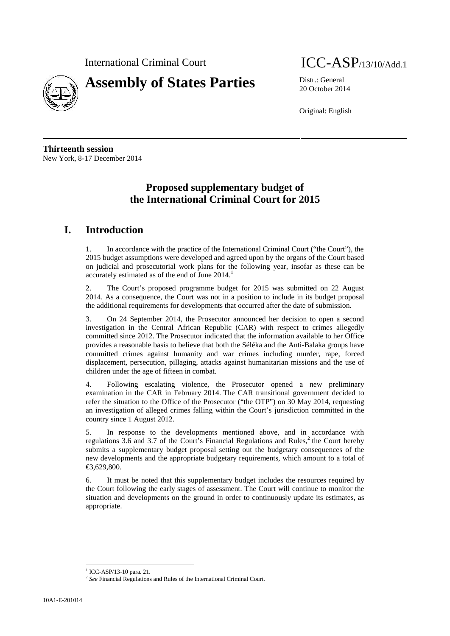

# **Assembly of States Parties** Distr.: General



20 October 2014

Original: English

**Thirteenth session** New York, 8-17 December 2014

## **Proposed supplementary budget of the International Criminal Court for 2015**

## **I. Introduction**

1. In accordance with the practice of the International Criminal Court ("the Court"), the 2015 budget assumptions were developed and agreed upon by the organs of the Court based on judicial and prosecutorial work plans for the following year, insofar as these can be accurately estimated as of the end of June 2014.<sup>1</sup>

2. The Court's proposed programme budget for 2015 was submitted on 22 August 2014. As a consequence, the Court was not in a position to include in its budget proposal the additional requirements for developments that occurred after the date of submission.

3. On 24 September 2014, the Prosecutor announced her decision to open a second investigation in the Central African Republic (CAR) with respect to crimes allegedly committed since 2012. The Prosecutor indicated that the information available to her Office provides a reasonable basis to believe that both the Séléka and the Anti-Balaka groups have committed crimes against humanity and war crimes including murder, rape, forced displacement, persecution, pillaging, attacks against humanitarian missions and the use of children under the age of fifteen in combat.

4. Following escalating violence, the Prosecutor opened a new preliminary examination in the CAR in February 2014. The CAR transitional government decided to refer the situation to the Office of the Prosecutor ("the OTP") on 30 May 2014, requesting an investigation of alleged crimes falling within the Court's jurisdiction committed in the country since 1 August 2012.

5. In response to the developments mentioned above, and in accordance with regulations 3.6 and 3.7 of the Court's Financial Regulations and Rules,<sup>2</sup> the Court hereby submits a supplementary budget proposal setting out the budgetary consequences of the new developments and the appropriate budgetary requirements, which amount to a total of €3,629,800.

6. It must be noted that this supplementary budget includes the resources required by the Court following the early stages of assessment. The Court will continue to monitor the situation and developments on the ground in order to continuously update its estimates, as appropriate.

<sup>&</sup>lt;sup>1</sup> ICC-ASP/13-10 para. 21.<br><sup>2</sup> *See* Financial Regulations and Rules of the International Criminal Court.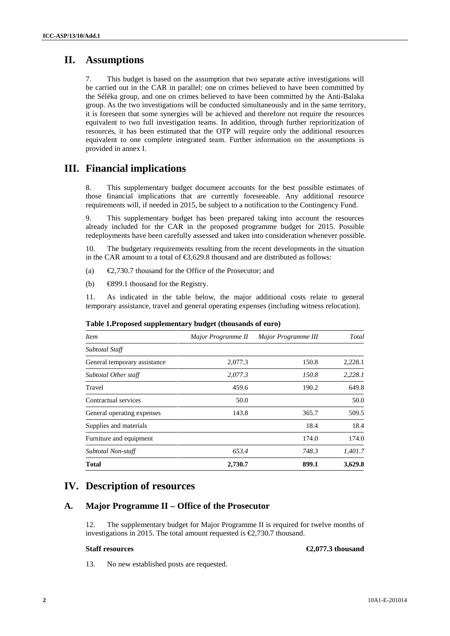## **II. Assumptions**

## **III. Financial implications**

| П. | <b>Assumptions</b>                                                                                                                                                                                                                                                                                                                                                                                                                                                                                                                                                                                                                                                                                  |                                                                                     |                     |         |
|----|-----------------------------------------------------------------------------------------------------------------------------------------------------------------------------------------------------------------------------------------------------------------------------------------------------------------------------------------------------------------------------------------------------------------------------------------------------------------------------------------------------------------------------------------------------------------------------------------------------------------------------------------------------------------------------------------------------|-------------------------------------------------------------------------------------|---------------------|---------|
|    | 7.<br>be carried out in the CAR in parallel: one on crimes believed to have been committed by<br>the Séléka group, and one on crimes believed to have been committed by the Anti-Balaka<br>group. As the two investigations will be conducted simultaneously and in the same territory,<br>it is foreseen that some synergies will be achieved and therefore not require the resources<br>equivalent to two full investigation teams. In addition, through further reprioritization of<br>resources, it has been estimated that the OTP will require only the additional resources<br>equivalent to one complete integrated team. Further information on the assumptions is<br>provided in annex I. | This budget is based on the assumption that two separate active investigations will |                     |         |
|    | <b>III.</b> Financial implications                                                                                                                                                                                                                                                                                                                                                                                                                                                                                                                                                                                                                                                                  |                                                                                     |                     |         |
|    | 8.<br>those financial implications that are currently foreseeable. Any additional resource<br>requirements will, if needed in 2015, be subject to a notification to the Contingency Fund.                                                                                                                                                                                                                                                                                                                                                                                                                                                                                                           | This supplementary budget document accounts for the best possible estimates of      |                     |         |
|    | 9.<br>already included for the CAR in the proposed programme budget for 2015. Possible<br>redeployments have been carefully assessed and taken into consideration whenever possible.                                                                                                                                                                                                                                                                                                                                                                                                                                                                                                                | This supplementary budget has been prepared taking into account the resources       |                     |         |
|    | 10.<br>in the CAR amount to a total of $\bigoplus$ , 629.8 thousand and are distributed as follows:                                                                                                                                                                                                                                                                                                                                                                                                                                                                                                                                                                                                 | The budgetary requirements resulting from the recent developments in the situation  |                     |         |
|    | (a)                                                                                                                                                                                                                                                                                                                                                                                                                                                                                                                                                                                                                                                                                                 | $\epsilon$ ,730.7 thousand for the Office of the Prosecutor; and                    |                     |         |
|    | <b>€</b> 899.1 thousand for the Registry.<br>(b)                                                                                                                                                                                                                                                                                                                                                                                                                                                                                                                                                                                                                                                    |                                                                                     |                     |         |
|    | 11.                                                                                                                                                                                                                                                                                                                                                                                                                                                                                                                                                                                                                                                                                                 | As indicated in the table below, the major additional costs relate to general       |                     |         |
|    | temporary assistance, travel and general operating expenses (including witness relocation).                                                                                                                                                                                                                                                                                                                                                                                                                                                                                                                                                                                                         |                                                                                     |                     |         |
|    | Table 1.Proposed supplementary budget (thousands of euro)                                                                                                                                                                                                                                                                                                                                                                                                                                                                                                                                                                                                                                           |                                                                                     |                     |         |
|    | <i>Item</i>                                                                                                                                                                                                                                                                                                                                                                                                                                                                                                                                                                                                                                                                                         | Major Programme II                                                                  | Major Programme III | Total   |
|    | Subtotal Staff                                                                                                                                                                                                                                                                                                                                                                                                                                                                                                                                                                                                                                                                                      |                                                                                     |                     |         |
|    | General temporary assistance                                                                                                                                                                                                                                                                                                                                                                                                                                                                                                                                                                                                                                                                        | 2,077.3                                                                             | 150.8               | 2,228.1 |
|    | Subtotal Other staff                                                                                                                                                                                                                                                                                                                                                                                                                                                                                                                                                                                                                                                                                | 2,077.3                                                                             | 150.8               | 2,228.1 |
|    | Travel                                                                                                                                                                                                                                                                                                                                                                                                                                                                                                                                                                                                                                                                                              | 459.6                                                                               | 190.2               | 649.8   |
|    | Contractual services                                                                                                                                                                                                                                                                                                                                                                                                                                                                                                                                                                                                                                                                                | 50.0                                                                                |                     | 50.0    |
|    | General operating expenses                                                                                                                                                                                                                                                                                                                                                                                                                                                                                                                                                                                                                                                                          | 143.8                                                                               | 365.7               | 509.5   |
|    | Supplies and materials                                                                                                                                                                                                                                                                                                                                                                                                                                                                                                                                                                                                                                                                              |                                                                                     | 18.4                | 18.4    |
|    | Furniture and equipment                                                                                                                                                                                                                                                                                                                                                                                                                                                                                                                                                                                                                                                                             |                                                                                     | 174.0               | 174.0   |
|    |                                                                                                                                                                                                                                                                                                                                                                                                                                                                                                                                                                                                                                                                                                     |                                                                                     |                     |         |
|    | Subtotal Non-staff                                                                                                                                                                                                                                                                                                                                                                                                                                                                                                                                                                                                                                                                                  | 653.4                                                                               | 748.3               | 1,401.7 |

| Table 1.Proposed supplementary budget (thousands of euro) |
|-----------------------------------------------------------|
|-----------------------------------------------------------|

## **IV. Description of resources**

### **A. Major Programme II – Office of the Prosecutor**

### **Staff resources €2,077.3 thousand**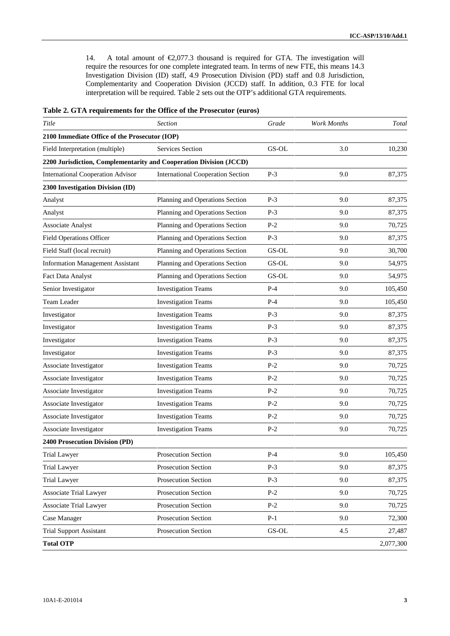| interpretation will be required. Table 2 sets out the OTP's additional GTA requirements.<br>Table 2. GTA requirements for the Office of the Prosecutor (euros)<br>Section<br>2100 Immediate Office of the Prosecutor (IOP)<br><b>Services Section</b><br>2200 Jurisdiction, Complementarity and Cooperation Division (JCCD)<br><b>International Cooperation Section</b><br>Planning and Operations Section<br>Planning and Operations Section | Grade<br>$GS-OL$<br>$P-3$                                                                                                                                                                                                                                                                                                                        | Work Months<br>3.0                                                                                                  | Total<br>10,230                                                                         |
|-----------------------------------------------------------------------------------------------------------------------------------------------------------------------------------------------------------------------------------------------------------------------------------------------------------------------------------------------------------------------------------------------------------------------------------------------|--------------------------------------------------------------------------------------------------------------------------------------------------------------------------------------------------------------------------------------------------------------------------------------------------------------------------------------------------|---------------------------------------------------------------------------------------------------------------------|-----------------------------------------------------------------------------------------|
|                                                                                                                                                                                                                                                                                                                                                                                                                                               |                                                                                                                                                                                                                                                                                                                                                  |                                                                                                                     |                                                                                         |
|                                                                                                                                                                                                                                                                                                                                                                                                                                               |                                                                                                                                                                                                                                                                                                                                                  |                                                                                                                     |                                                                                         |
|                                                                                                                                                                                                                                                                                                                                                                                                                                               |                                                                                                                                                                                                                                                                                                                                                  |                                                                                                                     |                                                                                         |
|                                                                                                                                                                                                                                                                                                                                                                                                                                               |                                                                                                                                                                                                                                                                                                                                                  |                                                                                                                     |                                                                                         |
|                                                                                                                                                                                                                                                                                                                                                                                                                                               |                                                                                                                                                                                                                                                                                                                                                  |                                                                                                                     |                                                                                         |
|                                                                                                                                                                                                                                                                                                                                                                                                                                               |                                                                                                                                                                                                                                                                                                                                                  | 9.0                                                                                                                 | 87,375                                                                                  |
|                                                                                                                                                                                                                                                                                                                                                                                                                                               |                                                                                                                                                                                                                                                                                                                                                  |                                                                                                                     |                                                                                         |
|                                                                                                                                                                                                                                                                                                                                                                                                                                               | $P-3$                                                                                                                                                                                                                                                                                                                                            | 9.0                                                                                                                 | 87,375                                                                                  |
|                                                                                                                                                                                                                                                                                                                                                                                                                                               | $P-3$                                                                                                                                                                                                                                                                                                                                            | 9.0                                                                                                                 | 87,375                                                                                  |
| Planning and Operations Section                                                                                                                                                                                                                                                                                                                                                                                                               | $P-2$                                                                                                                                                                                                                                                                                                                                            | 9.0                                                                                                                 | 70,725                                                                                  |
| Planning and Operations Section                                                                                                                                                                                                                                                                                                                                                                                                               | $P-3$                                                                                                                                                                                                                                                                                                                                            | 9.0                                                                                                                 | 87,375                                                                                  |
|                                                                                                                                                                                                                                                                                                                                                                                                                                               |                                                                                                                                                                                                                                                                                                                                                  |                                                                                                                     | 30,700                                                                                  |
|                                                                                                                                                                                                                                                                                                                                                                                                                                               |                                                                                                                                                                                                                                                                                                                                                  |                                                                                                                     |                                                                                         |
|                                                                                                                                                                                                                                                                                                                                                                                                                                               |                                                                                                                                                                                                                                                                                                                                                  |                                                                                                                     | 54,975                                                                                  |
|                                                                                                                                                                                                                                                                                                                                                                                                                                               |                                                                                                                                                                                                                                                                                                                                                  |                                                                                                                     | 54,975                                                                                  |
|                                                                                                                                                                                                                                                                                                                                                                                                                                               |                                                                                                                                                                                                                                                                                                                                                  |                                                                                                                     | 105,450                                                                                 |
|                                                                                                                                                                                                                                                                                                                                                                                                                                               |                                                                                                                                                                                                                                                                                                                                                  |                                                                                                                     | 105,450                                                                                 |
|                                                                                                                                                                                                                                                                                                                                                                                                                                               |                                                                                                                                                                                                                                                                                                                                                  |                                                                                                                     | 87,375                                                                                  |
|                                                                                                                                                                                                                                                                                                                                                                                                                                               |                                                                                                                                                                                                                                                                                                                                                  |                                                                                                                     | 87,375                                                                                  |
| <b>Investigation Teams</b>                                                                                                                                                                                                                                                                                                                                                                                                                    |                                                                                                                                                                                                                                                                                                                                                  |                                                                                                                     | 87,375                                                                                  |
| <b>Investigation Teams</b>                                                                                                                                                                                                                                                                                                                                                                                                                    | $P-3$                                                                                                                                                                                                                                                                                                                                            | 9.0                                                                                                                 | 87,375                                                                                  |
| <b>Investigation Teams</b>                                                                                                                                                                                                                                                                                                                                                                                                                    | $P-2$                                                                                                                                                                                                                                                                                                                                            | 9.0                                                                                                                 | 70,725                                                                                  |
| <b>Investigation Teams</b>                                                                                                                                                                                                                                                                                                                                                                                                                    | $P-2$                                                                                                                                                                                                                                                                                                                                            | 9.0                                                                                                                 | 70,725                                                                                  |
| <b>Investigation Teams</b>                                                                                                                                                                                                                                                                                                                                                                                                                    | $P-2$                                                                                                                                                                                                                                                                                                                                            | 9.0                                                                                                                 | 70,725                                                                                  |
| <b>Investigation Teams</b>                                                                                                                                                                                                                                                                                                                                                                                                                    | $P-2$                                                                                                                                                                                                                                                                                                                                            | 9.0                                                                                                                 | 70,725                                                                                  |
| <b>Investigation Teams</b>                                                                                                                                                                                                                                                                                                                                                                                                                    | $P-2$                                                                                                                                                                                                                                                                                                                                            | 9.0                                                                                                                 | 70,725                                                                                  |
| <b>Investigation Teams</b>                                                                                                                                                                                                                                                                                                                                                                                                                    | $P-2$                                                                                                                                                                                                                                                                                                                                            | 9.0                                                                                                                 | 70,725                                                                                  |
|                                                                                                                                                                                                                                                                                                                                                                                                                                               |                                                                                                                                                                                                                                                                                                                                                  |                                                                                                                     |                                                                                         |
| Prosecution Section                                                                                                                                                                                                                                                                                                                                                                                                                           | $P-4$                                                                                                                                                                                                                                                                                                                                            | 9.0                                                                                                                 | 105,450                                                                                 |
| Prosecution Section                                                                                                                                                                                                                                                                                                                                                                                                                           | $P-3$                                                                                                                                                                                                                                                                                                                                            | 9.0                                                                                                                 | 87,375                                                                                  |
|                                                                                                                                                                                                                                                                                                                                                                                                                                               |                                                                                                                                                                                                                                                                                                                                                  |                                                                                                                     | 87,375                                                                                  |
|                                                                                                                                                                                                                                                                                                                                                                                                                                               |                                                                                                                                                                                                                                                                                                                                                  |                                                                                                                     | 70,725                                                                                  |
|                                                                                                                                                                                                                                                                                                                                                                                                                                               |                                                                                                                                                                                                                                                                                                                                                  |                                                                                                                     | 70,725                                                                                  |
|                                                                                                                                                                                                                                                                                                                                                                                                                                               |                                                                                                                                                                                                                                                                                                                                                  |                                                                                                                     | 72,300                                                                                  |
|                                                                                                                                                                                                                                                                                                                                                                                                                                               |                                                                                                                                                                                                                                                                                                                                                  |                                                                                                                     | 27,487                                                                                  |
|                                                                                                                                                                                                                                                                                                                                                                                                                                               |                                                                                                                                                                                                                                                                                                                                                  |                                                                                                                     | 2,077,300                                                                               |
|                                                                                                                                                                                                                                                                                                                                                                                                                                               | Planning and Operations Section<br>Planning and Operations Section<br>Planning and Operations Section<br><b>Investigation Teams</b><br><b>Investigation Teams</b><br><b>Investigation Teams</b><br><b>Investigation Teams</b><br>Prosecution Section<br>Prosecution Section<br>Prosecution Section<br>Prosecution Section<br>Prosecution Section | $GS-OL$<br>GS-OL<br>GS-OL<br>$P-4$<br>$P-4$<br>$P-3$<br>$P-3$<br>$P-3$<br>$P-3$<br>$P-2$<br>$P-2$<br>$P-1$<br>GS-OL | 9.0<br>9.0<br>9.0<br>9.0<br>9.0<br>9.0<br>9.0<br>9.0<br>9.0<br>9.0<br>9.0<br>9.0<br>4.5 |

|  |  | Table 2. GTA requirements for the Office of the Prosecutor (euros) |  |  |  |  |  |
|--|--|--------------------------------------------------------------------|--|--|--|--|--|
|--|--|--------------------------------------------------------------------|--|--|--|--|--|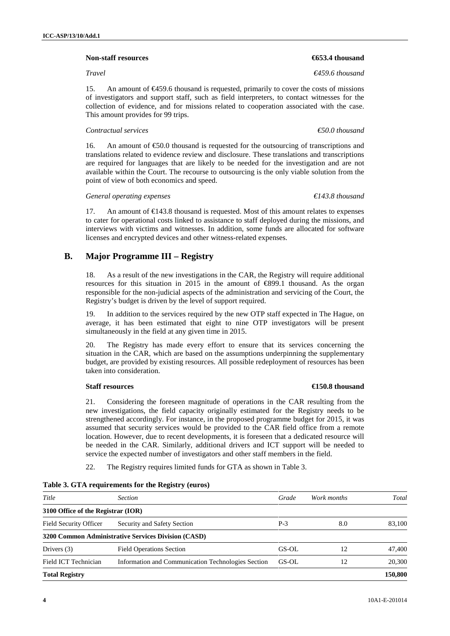### **Non-staff resources €653.4 thousand**

### *Contractual services €50.0 thousand*

### *General operating expenses €143.8 thousand*

### **B. Major Programme III – Registry**

### **Staff resources €150.8 thousand**

|                        | <b>Non-staff resources</b>                                                                                                                                                                                                                                                                                                                                                                                                                                                                                                                                                                                                                              |       | $653.4$ thousand       |         |
|------------------------|---------------------------------------------------------------------------------------------------------------------------------------------------------------------------------------------------------------------------------------------------------------------------------------------------------------------------------------------------------------------------------------------------------------------------------------------------------------------------------------------------------------------------------------------------------------------------------------------------------------------------------------------------------|-------|------------------------|---------|
|                        |                                                                                                                                                                                                                                                                                                                                                                                                                                                                                                                                                                                                                                                         |       |                        |         |
|                        | <b>Travel</b><br>An amount of $\bigoplus$ 59.6 thousand is requested, primarily to cover the costs of missions<br>15.<br>of investigators and support staff, such as field interpreters, to contact witnesses for the<br>collection of evidence, and for missions related to cooperation associated with the case.<br>This amount provides for 99 trips.                                                                                                                                                                                                                                                                                                |       | €459.6 thousand        |         |
|                        | Contractual services                                                                                                                                                                                                                                                                                                                                                                                                                                                                                                                                                                                                                                    |       | €50.0 thousand         |         |
|                        | An amount of $\epsilon$ 0.0 thousand is requested for the outsourcing of transcriptions and<br>16.<br>translations related to evidence review and disclosure. These translations and transcriptions<br>are required for languages that are likely to be needed for the investigation and are not<br>available within the Court. The recourse to outsourcing is the only viable solution from the<br>point of view of both economics and speed.                                                                                                                                                                                                          |       |                        |         |
|                        | General operating expenses                                                                                                                                                                                                                                                                                                                                                                                                                                                                                                                                                                                                                              |       | €143.8 thousand        |         |
|                        | An amount of $\epsilon$ 143.8 thousand is requested. Most of this amount relates to expenses<br>17.<br>to cater for operational costs linked to assistance to staff deployed during the missions, and<br>interviews with victims and witnesses. In addition, some funds are allocated for software<br>licenses and encrypted devices and other witness-related expenses.                                                                                                                                                                                                                                                                                |       |                        |         |
| <b>B.</b>              | <b>Major Programme III – Registry</b>                                                                                                                                                                                                                                                                                                                                                                                                                                                                                                                                                                                                                   |       |                        |         |
|                        | As a result of the new investigations in the CAR, the Registry will require additional<br>18.<br>resources for this situation in 2015 in the amount of $\in$ 899.1 thousand. As the organ<br>responsible for the non-judicial aspects of the administration and servicing of the Court, the<br>Registry's budget is driven by the level of support required.                                                                                                                                                                                                                                                                                            |       |                        |         |
|                        | In addition to the services required by the new OTP staff expected in The Hague, on<br>19.<br>average, it has been estimated that eight to nine OTP investigators will be present<br>simultaneously in the field at any given time in 2015.                                                                                                                                                                                                                                                                                                                                                                                                             |       |                        |         |
|                        | The Registry has made every effort to ensure that its services concerning the<br>20.<br>situation in the CAR, which are based on the assumptions underpinning the supplementary<br>budget, are provided by existing resources. All possible redeployment of resources has been<br>taken into consideration.                                                                                                                                                                                                                                                                                                                                             |       |                        |         |
|                        | <b>Staff resources</b>                                                                                                                                                                                                                                                                                                                                                                                                                                                                                                                                                                                                                                  |       | <b>€150.8</b> thousand |         |
|                        | Considering the foreseen magnitude of operations in the CAR resulting from the<br>21.<br>new investigations, the field capacity originally estimated for the Registry needs to be<br>strengthened accordingly. For instance, in the proposed programme budget for 2015, it was<br>assumed that security services would be provided to the CAR field office from a remote<br>location. However, due to recent developments, it is foreseen that a dedicated resource will<br>be needed in the CAR. Similarly, additional drivers and ICT support will be needed to<br>service the expected number of investigators and other staff members in the field. |       |                        |         |
|                        | The Registry requires limited funds for GTA as shown in Table 3.<br>22.                                                                                                                                                                                                                                                                                                                                                                                                                                                                                                                                                                                 |       |                        |         |
|                        | Table 3. GTA requirements for the Registry (euros)                                                                                                                                                                                                                                                                                                                                                                                                                                                                                                                                                                                                      |       |                        |         |
| Title                  | <b>Section</b>                                                                                                                                                                                                                                                                                                                                                                                                                                                                                                                                                                                                                                          | Grade | Work months            | Total   |
|                        | 3100 Office of the Registrar (IOR)                                                                                                                                                                                                                                                                                                                                                                                                                                                                                                                                                                                                                      |       |                        |         |
| Field Security Officer | Security and Safety Section                                                                                                                                                                                                                                                                                                                                                                                                                                                                                                                                                                                                                             | $P-3$ | $8.0\,$                | 83,100  |
|                        | 3200 Common Administrative Services Division (CASD)                                                                                                                                                                                                                                                                                                                                                                                                                                                                                                                                                                                                     |       |                        |         |
| Drivers $(3)$          | <b>Field Operations Section</b>                                                                                                                                                                                                                                                                                                                                                                                                                                                                                                                                                                                                                         | GS-OL | 12                     | 47,400  |
| Field ICT Technician   | Information and Communication Technologies Section                                                                                                                                                                                                                                                                                                                                                                                                                                                                                                                                                                                                      | GS-OL | 12                     | 20,300  |
| <b>Total Registry</b>  |                                                                                                                                                                                                                                                                                                                                                                                                                                                                                                                                                                                                                                                         |       |                        | 150,800 |

### **Table 3. GTA requirements for the Registry (euros)**